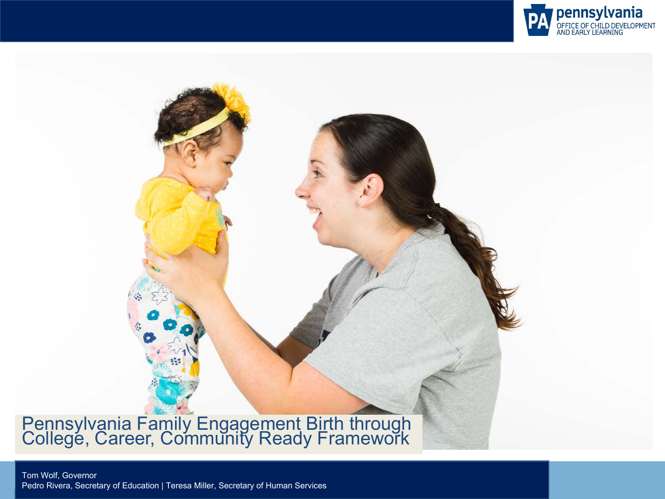

#### Pennsylvania Family Engagement Birth through College, Career, Community Ready Framework

Tom Wolf, Governor Tom Wolf, Governor Pedro Rivera, Secretary of Education | Teresa Miller, Secretary of Human Services Pedro Rivera, Secretary of Education | Teresa Miller, Secretary of Human Services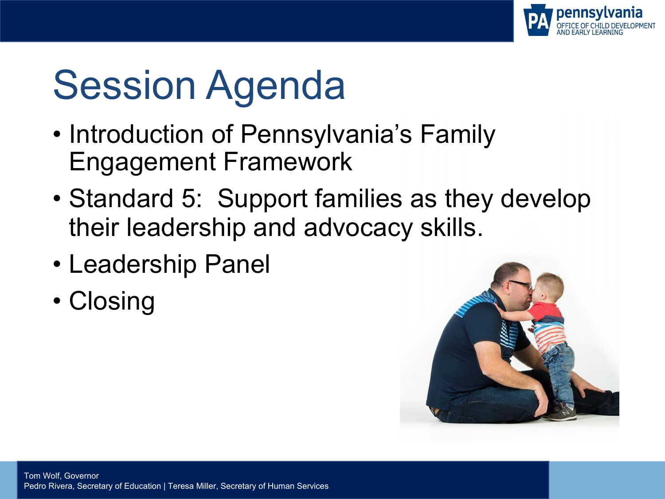

## Session Agenda

- Introduction of Pennsylvania's Family Engagement Framework
- Standard 5: Support families as they develop their leadership and advocacy skills.
- Leadership Panel
- Closing

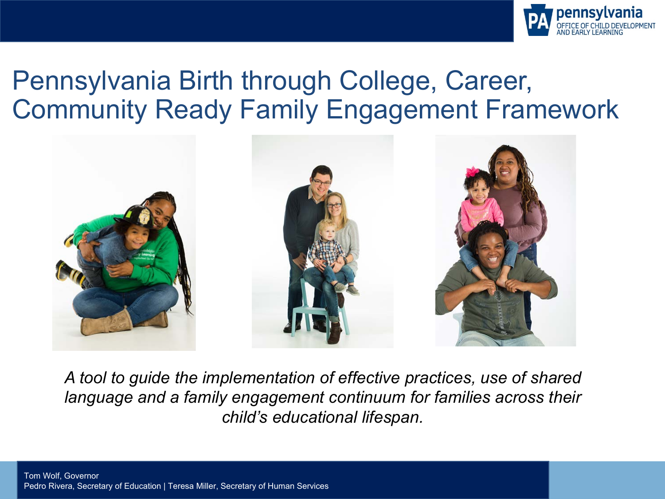

#### Pennsylvania Birth through College, Career, Community Ready Family Engagement Framework



*A tool to guide the implementation of effective practices, use of shared language and a family engagement continuum for families across their child's educational lifespan.*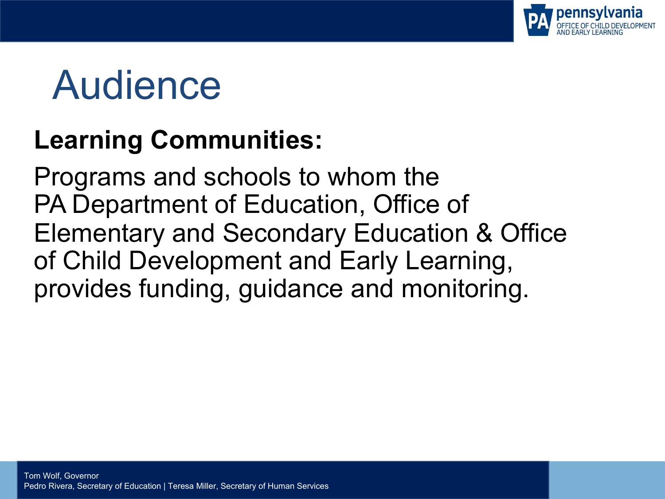

## Audience

#### **Learning Communities:**

Programs and schools to whom the PA Department of Education, Office of Elementary and Secondary Education & Office of Child Development and Early Learning, provides funding, guidance and monitoring.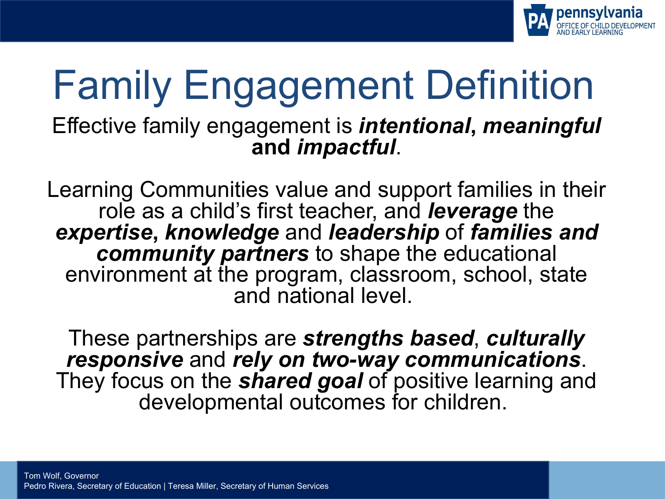

## Family Engagement Definition

Effective family engagement is *intentional***,** *meaningful* **and** *impactful*.

Learning Communities value and support families in their role as a child's first teacher, and *leverage* the *expertise***,** *knowledge* and *leadership* of *families and community partners* to shape the educational environment at the program, classroom, school, state and national level.

These partnerships are *strengths based*, *culturally responsive* and *rely on two-way communications*. They focus on the *shared goal* of positive learning and developmental outcomes for children.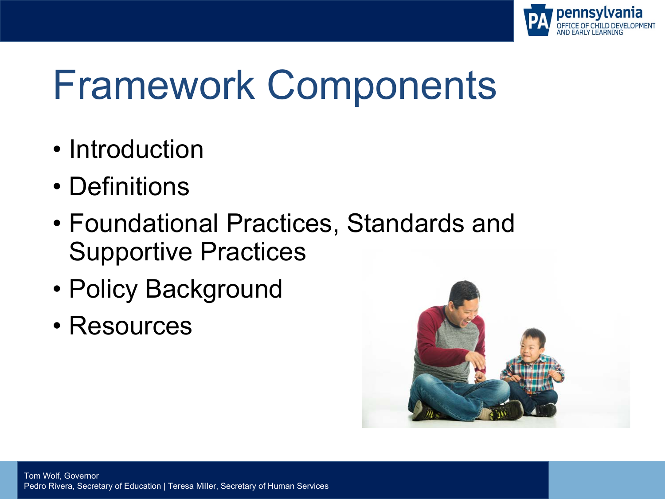

## Framework Components

- Introduction
- Definitions
- Foundational Practices, Standards and Supportive Practices
- Policy Background
- Resources

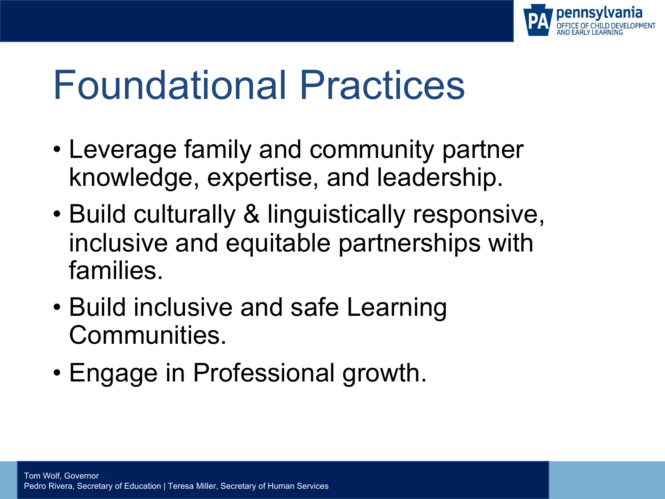

## Foundational Practices

- Leverage family and community partner knowledge, expertise, and leadership.
- Build culturally & linguistically responsive, inclusive and equitable partnerships with families.
- Build inclusive and safe Learning Communities.
- Engage in Professional growth.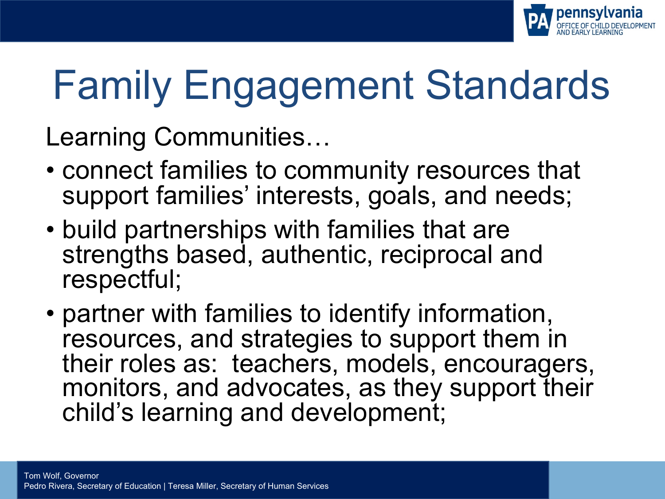

# Family Engagement Standards

Learning Communities…

- connect families to community resources that support families' interests, goals, and needs:
- build partnerships with families that are strengths based, authentic, reciprocal and respectful;
- partner with families to identify information, resources, and strategies to support them in their roles as: teachers, models, encouragers, monitors, and advocates, as they support their child's learning and development;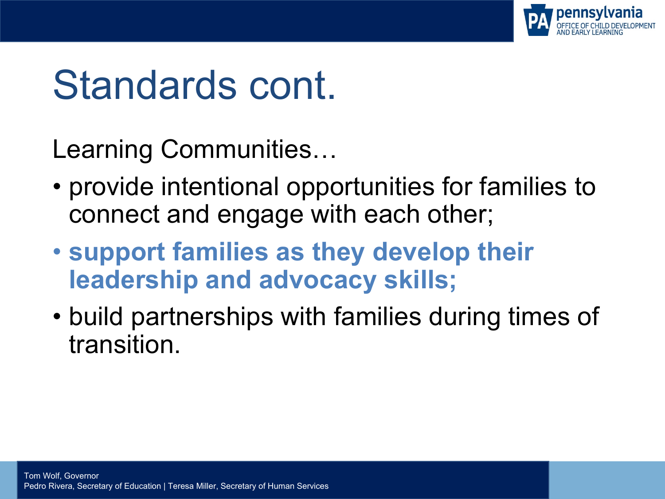

## Standards cont.

Learning Communities…

- provide intentional opportunities for families to connect and engage with each other;
- **support families as they develop their leadership and advocacy skills;**
- build partnerships with families during times of transition.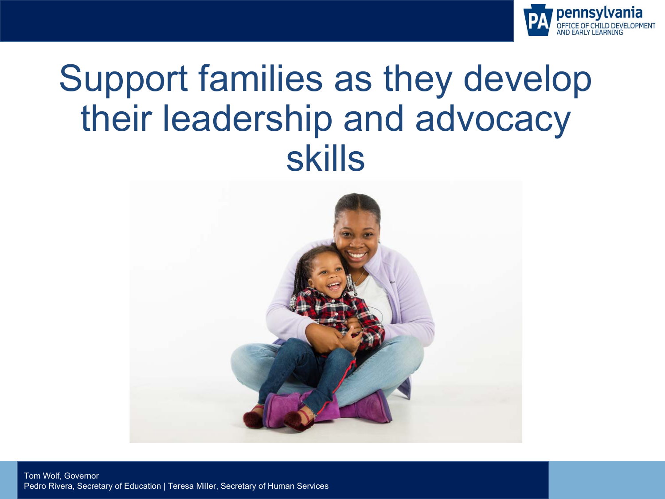

#### Support families as they develop their leadership and advocacy skills



Tom Wolf, Governor Pedro Rivera, Secretary of Education | Teresa Miller, Secretary of Human Services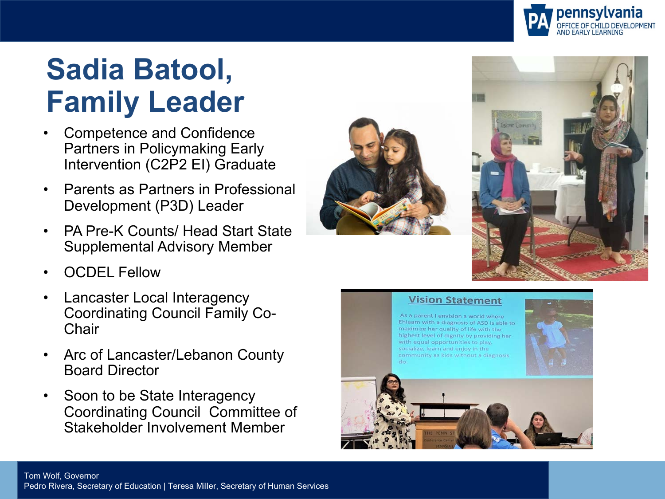

#### **Sadia Batool, Family Leader**

- Competence and Confidence Partners in Policymaking Early Intervention (C2P2 EI) Graduate
- Parents as Partners in Professional Development (P3D) Leader
- PA Pre-K Counts/ Head Start State Supplemental Advisory Member
- OCDEL Fellow
- Lancaster Local Interagency Coordinating Council Family Co-**Chair**
- Arc of Lancaster/Lebanon County Board Director
- Soon to be State Interagency Coordinating Council Committee of Stakeholder Involvement Member





#### **Vision Statement**

As a parent I envision a world where Ehlaam with a diagnosis of ASD is able to maximize her quality of life with the highest level of dignity by providing her with equal opportunities to play. socialize, learn and enjoy in the community as kids without a diagnosis



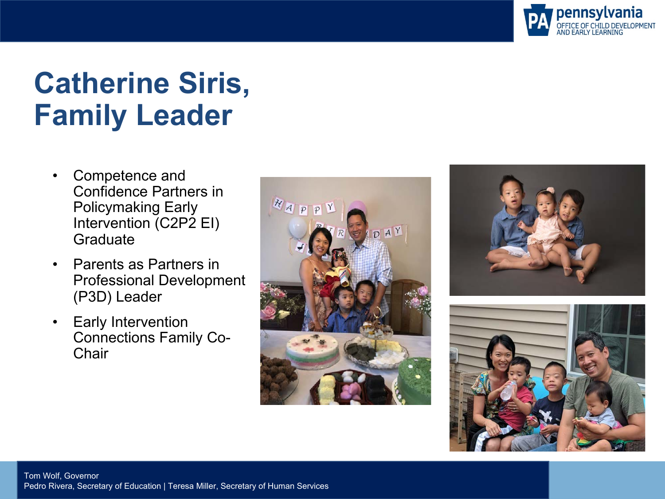

#### **Catherine Siris, Family Leader**

- Competence and Confidence Partners in Policymaking Early Intervention (C2P2 EI) **Graduate**
- Parents as Partners in Professional Development (P3D) Leader
- Early Intervention Connections Family Co-**Chair**





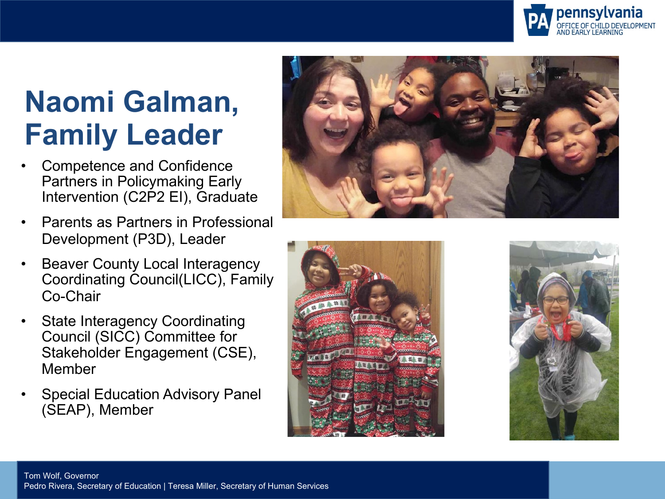

#### **Naomi Galman, Family Leader**

- Competence and Confidence Partners in Policymaking Early Intervention (C2P2 EI), Graduate
- Parents as Partners in Professional Development (P3D), Leader
- Beaver County Local Interagency Coordinating Council(LICC), Family Co-Chair
- State Interagency Coordinating Council (SICC) Committee for Stakeholder Engagement (CSE), Member
- Special Education Advisory Panel (SEAP), Member





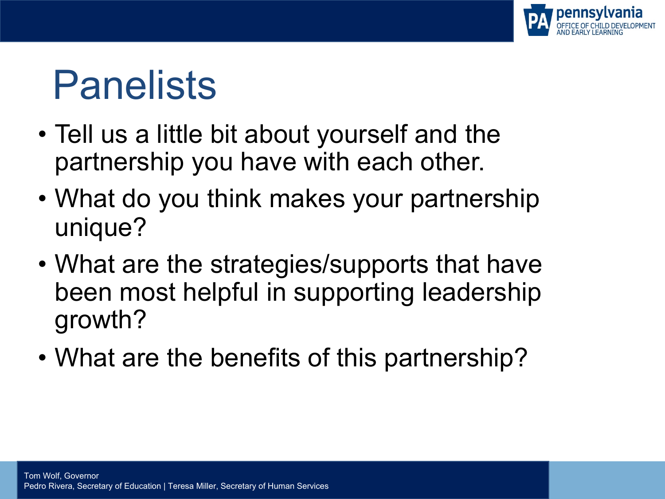

## Panelists

- Tell us a little bit about yourself and the partnership you have with each other.
- What do you think makes your partnership unique?
- What are the strategies/supports that have been most helpful in supporting leadership growth?
- What are the benefits of this partnership?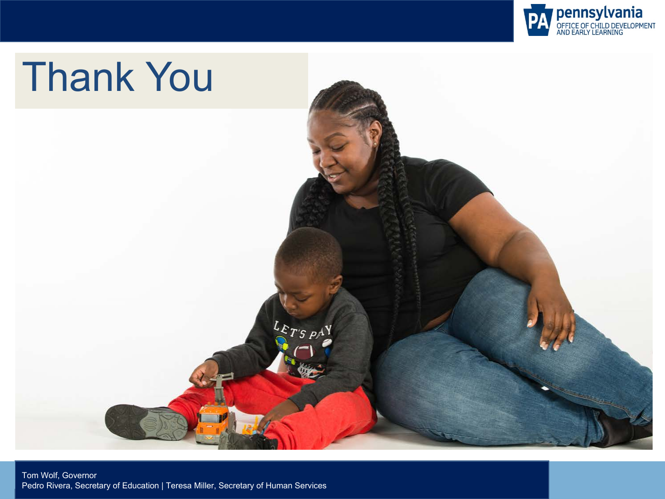

# Thank You $L_{E_{T'S P} \wedge Y}$